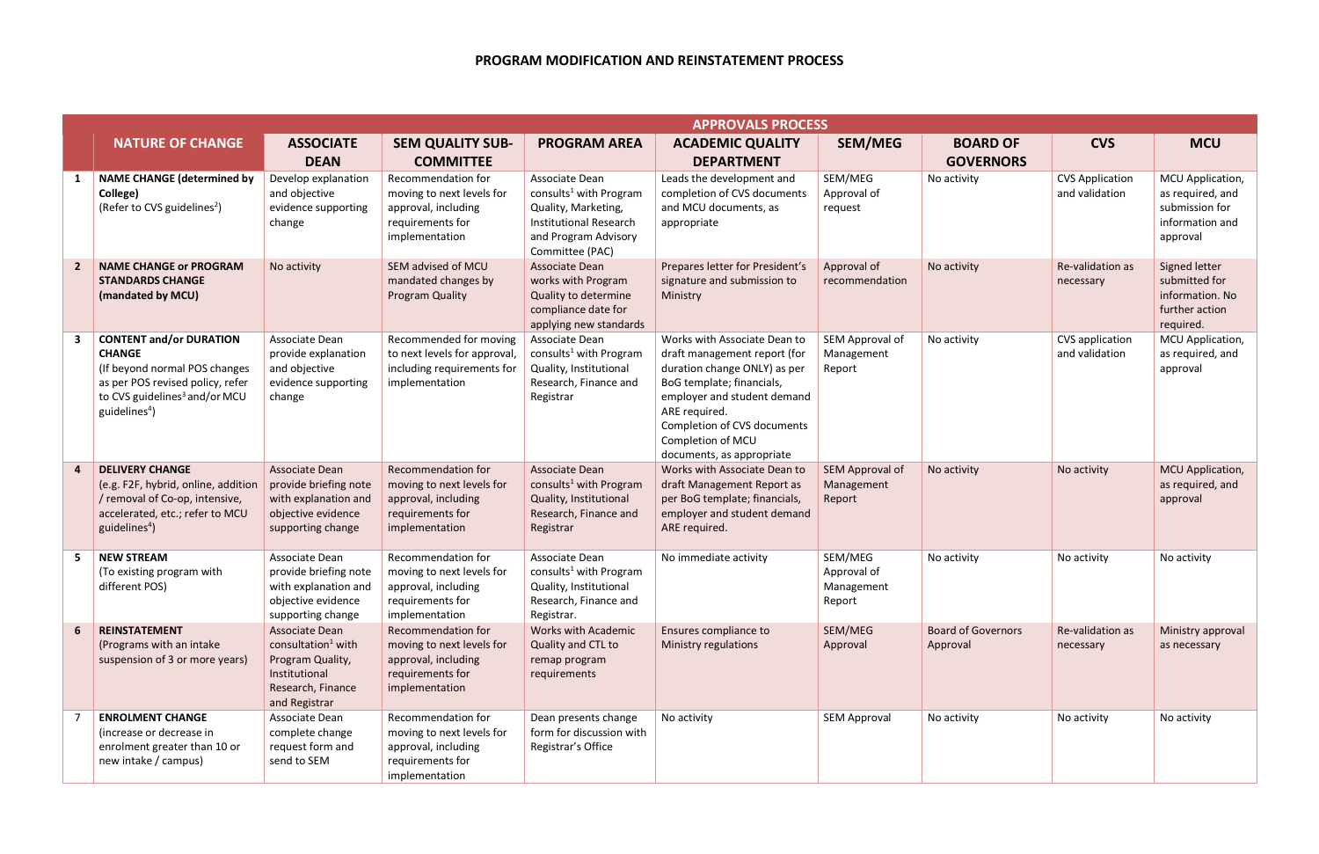## <span id="page-0-1"></span>**PROGRAM MODIFICATION AND REINSTATEMENT PROCESS**

<span id="page-0-3"></span><span id="page-0-2"></span><span id="page-0-0"></span>

|    |                                                                                                                                                                                                | <b>APPROVALS PROCESS</b>                                                                                                    |                                                                                                                     |                                                                                                                                                         |                                                                                                                                                                                                                                                            |                                                |                                       |                                          |                                                                                       |
|----|------------------------------------------------------------------------------------------------------------------------------------------------------------------------------------------------|-----------------------------------------------------------------------------------------------------------------------------|---------------------------------------------------------------------------------------------------------------------|---------------------------------------------------------------------------------------------------------------------------------------------------------|------------------------------------------------------------------------------------------------------------------------------------------------------------------------------------------------------------------------------------------------------------|------------------------------------------------|---------------------------------------|------------------------------------------|---------------------------------------------------------------------------------------|
|    | <b>NATURE OF CHANGE</b>                                                                                                                                                                        | <b>ASSOCIATE</b><br><b>DEAN</b>                                                                                             | <b>SEM QUALITY SUB-</b><br><b>COMMITTEE</b>                                                                         | <b>PROGRAM AREA</b>                                                                                                                                     | <b>ACADEMIC QUALITY</b><br><b>DEPARTMENT</b>                                                                                                                                                                                                               | <b>SEM/MEG</b>                                 | <b>BOARD OF</b><br><b>GOVERNORS</b>   | <b>CVS</b>                               | <b>MCU</b>                                                                            |
|    | <b>NAME CHANGE (determined by</b><br>College)<br>(Refer to CVS guidelines <sup>2</sup> )                                                                                                       | Develop explanation<br>and objective<br>evidence supporting<br>change                                                       | Recommendation for<br>moving to next levels for<br>approval, including<br>requirements for<br>implementation        | Associate Dean<br>consults <sup>1</sup> with Program<br>Quality, Marketing,<br><b>Institutional Research</b><br>and Program Advisory<br>Committee (PAC) | Leads the development and<br>completion of CVS documents<br>and MCU documents, as<br>appropriate                                                                                                                                                           | SEM/MEG<br>Approval of<br>request              | No activity                           | <b>CVS Application</b><br>and validation | MCU Application,<br>as required, and<br>submission for<br>information and<br>approval |
|    | <b>NAME CHANGE or PROGRAM</b><br><b>STANDARDS CHANGE</b><br>(mandated by MCU)                                                                                                                  | No activity                                                                                                                 | SEM advised of MCU<br>mandated changes by<br><b>Program Quality</b>                                                 | Associate Dean<br>works with Program<br>Quality to determine<br>compliance date for<br>applying new standards                                           | Prepares letter for President's<br>signature and submission to<br>Ministry                                                                                                                                                                                 | Approval of<br>recommendation                  | No activity                           | Re-validation as<br>necessary            | Signed letter<br>submitted for<br>information. No<br>further action<br>required.      |
|    | <b>CONTENT and/or DURATION</b><br><b>CHANGE</b><br>(If beyond normal POS changes<br>as per POS revised policy, refer<br>to CVS guidelines <sup>3</sup> and/or MCU<br>guidelines <sup>4</sup> ) | Associate Dean<br>provide explanation<br>and objective<br>evidence supporting<br>change                                     | Recommended for moving<br>to next levels for approval,<br>including requirements for<br>implementation              | Associate Dean<br>consults <sup>1</sup> with Program<br>Quality, Institutional<br>Research, Finance and<br>Registrar                                    | Works with Associate Dean to<br>draft management report (for<br>duration change ONLY) as per<br>BoG template; financials,<br>employer and student demand<br>ARE required.<br>Completion of CVS documents<br>Completion of MCU<br>documents, as appropriate | SEM Approval of<br>Management<br>Report        | No activity                           | CVS application<br>and validation        | MCU Application,<br>as required, and<br>approval                                      |
|    | <b>DELIVERY CHANGE</b><br>(e.g. F2F, hybrid, online, addition<br>/ removal of Co-op, intensive,<br>accelerated, etc.; refer to MCU<br>guidelines <sup>4</sup>                                  | Associate Dean<br>provide briefing note<br>with explanation and<br>objective evidence<br>supporting change                  | <b>Recommendation for</b><br>moving to next levels for<br>approval, including<br>requirements for<br>implementation | <b>Associate Dean</b><br>consults <sup>1</sup> with Program<br>Quality, Institutional<br>Research, Finance and<br>Registrar                             | Works with Associate Dean to<br>draft Management Report as<br>per BoG template; financials,<br>employer and student demand<br>ARE required.                                                                                                                | SEM Approval of<br>Management<br>Report        | No activity                           | No activity                              | MCU Application,<br>as required, and<br>approval                                      |
| 5. | <b>NEW STREAM</b><br>(To existing program with<br>different POS)                                                                                                                               | Associate Dean<br>provide briefing note<br>with explanation and<br>objective evidence<br>supporting change                  | Recommendation for<br>moving to next levels for<br>approval, including<br>requirements for<br>implementation        | Associate Dean<br>consults <sup>1</sup> with Program<br>Quality, Institutional<br>Research, Finance and<br>Registrar.                                   | No immediate activity                                                                                                                                                                                                                                      | SEM/MEG<br>Approval of<br>Management<br>Report | No activity                           | No activity                              | No activity                                                                           |
|    | <b>REINSTATEMENT</b><br>(Programs with an intake<br>suspension of 3 or more years)                                                                                                             | Associate Dean<br>consultation <sup>1</sup> with<br>Program Quality,<br>Institutional<br>Research, Finance<br>and Registrar | Recommendation for<br>moving to next levels for<br>approval, including<br>requirements for<br>implementation        | <b>Works with Academic</b><br>Quality and CTL to<br>remap program<br>requirements                                                                       | Ensures compliance to<br>Ministry regulations                                                                                                                                                                                                              | SEM/MEG<br>Approval                            | <b>Board of Governors</b><br>Approval | Re-validation as<br>necessary            | Ministry approval<br>as necessary                                                     |
|    | <b>ENROLMENT CHANGE</b><br>(increase or decrease in<br>enrolment greater than 10 or<br>new intake / campus)                                                                                    | Associate Dean<br>complete change<br>request form and<br>send to SEM                                                        | Recommendation for<br>moving to next levels for<br>approval, including<br>requirements for<br>implementation        | Dean presents change<br>form for discussion with<br>Registrar's Office                                                                                  | No activity                                                                                                                                                                                                                                                | <b>SEM Approval</b>                            | No activity                           | No activity                              | No activity                                                                           |